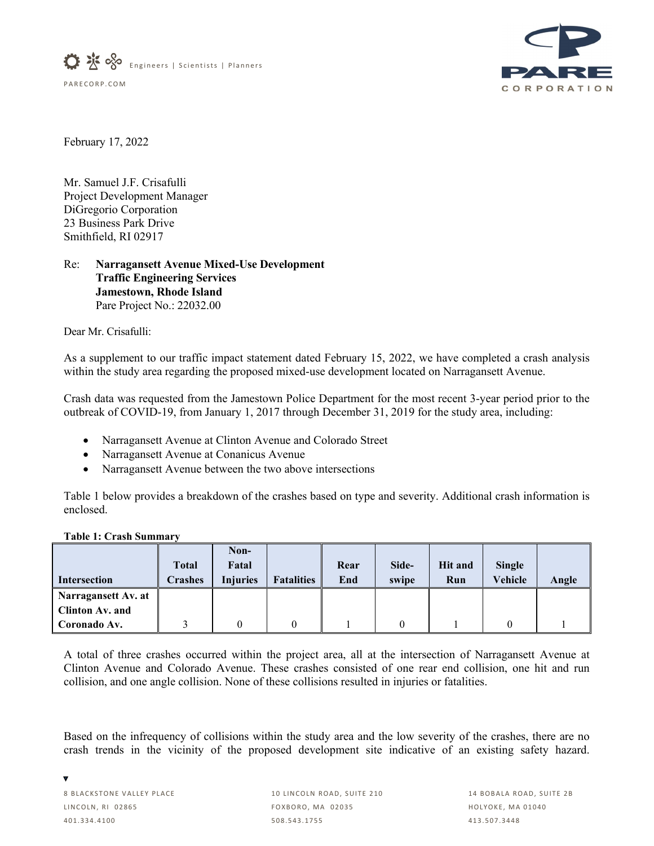



February 17, 2022

Mr. Samuel J.F. Crisafulli Project Development Manager DiGregorio Corporation 23 Business Park Drive Smithfield, RI 02917

## Re: **Narragansett Avenue Mixed-Use Development Traffic Engineering Services Jamestown, Rhode Island** Pare Project No.: 22032.00

Dear Mr. Crisafulli:

As a supplement to our traffic impact statement dated February 15, 2022, we have completed a crash analysis within the study area regarding the proposed mixed-use development located on Narragansett Avenue.

Crash data was requested from the Jamestown Police Department for the most recent 3-year period prior to the outbreak of COVID-19, from January 1, 2017 through December 31, 2019 for the study area, including:

- Narragansett Avenue at Clinton Avenue and Colorado Street
- Narragansett Avenue at Conanicus Avenue
- Narragansett Avenue between the two above intersections

Table 1 below provides a breakdown of the crashes based on type and severity. Additional crash information is enclosed.

| таріс т. Стамі эншшагу |                                |                                  |                   |             |                |                       |                   |       |
|------------------------|--------------------------------|----------------------------------|-------------------|-------------|----------------|-----------------------|-------------------|-------|
| <b>Intersection</b>    | <b>Total</b><br><b>Crashes</b> | Non-<br>Fatal<br><b>Injuries</b> | <b>Fatalities</b> | Rear<br>End | Side-<br>swipe | <b>Hit and</b><br>Run | Single<br>Vehicle | Angle |
| Narragansett Av. at    |                                |                                  |                   |             |                |                       |                   |       |
| Clinton Av. and        |                                |                                  |                   |             |                |                       |                   |       |
| Coronado Av.           |                                |                                  |                   |             |                |                       |                   |       |

**Table 1: Crash Summary**

A total of three crashes occurred within the project area, all at the intersection of Narragansett Avenue at Clinton Avenue and Colorado Avenue. These crashes consisted of one rear end collision, one hit and run collision, and one angle collision. None of these collisions resulted in injuries or fatalities.

Based on the infrequency of collisions within the study area and the low severity of the crashes, there are no crash trends in the vicinity of the proposed development site indicative of an existing safety hazard.

v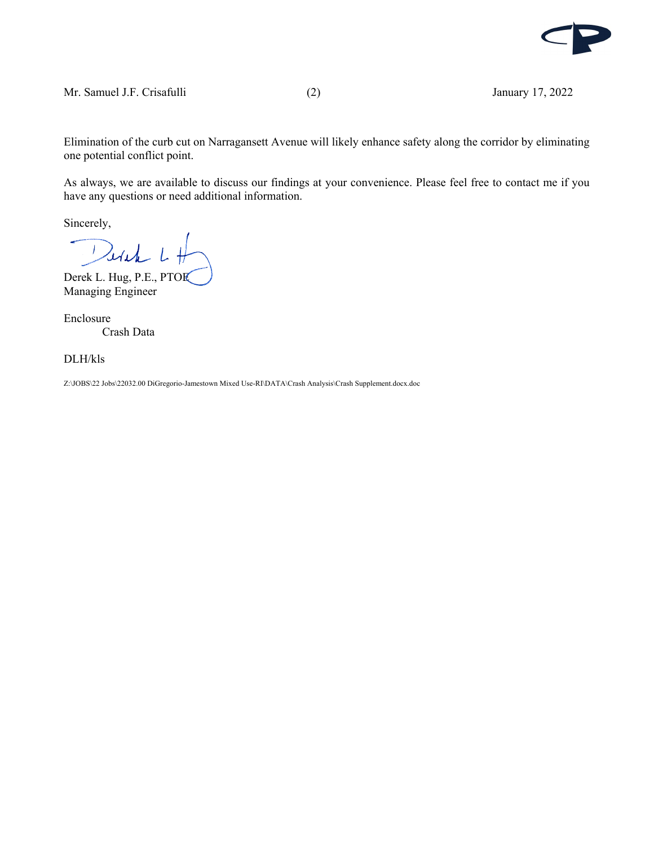

Elimination of the curb cut on Narragansett Avenue will likely enhance safety along the corridor by eliminating one potential conflict point.

As always, we are available to discuss our findings at your convenience. Please feel free to contact me if you have any questions or need additional information.

Sincerely,

Wick  $\mathcal{F}$ 

Derek L. Hug, P.E., PTOE Managing Engineer

Enclosure Crash Data

DLH/kls

Z:\JOBS\22 Jobs\22032.00 DiGregorio-Jamestown Mixed Use-RI\DATA\Crash Analysis\Crash Supplement.docx.doc